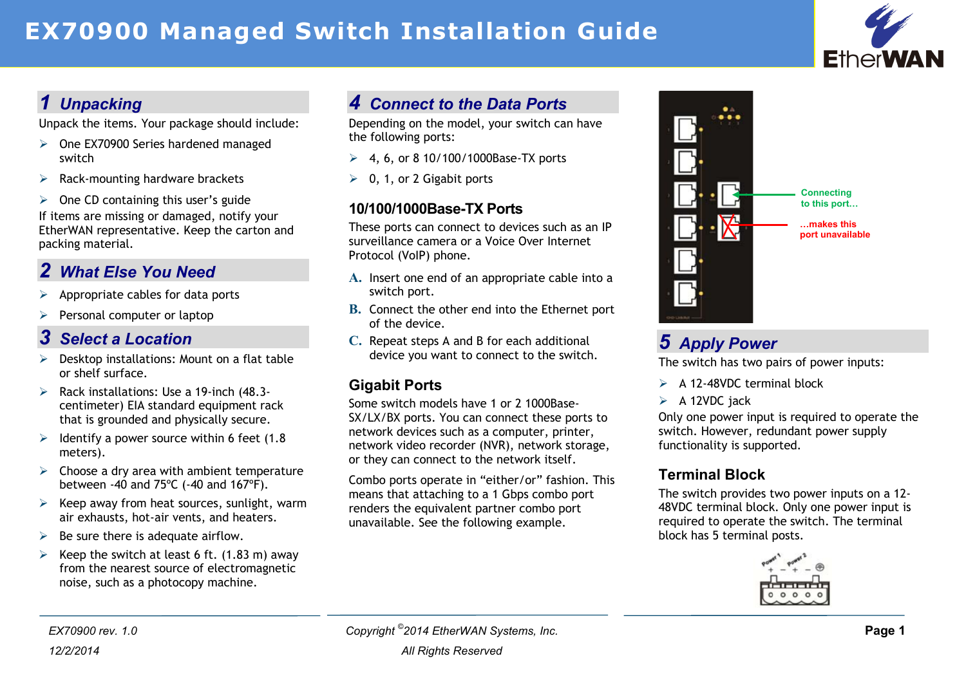# **EX70900 Managed Switch Installation Guide**



## *1 Unpacking*

Unpack the items. Your package should include:

- One EX70900 Series hardened managed switch
- $\triangleright$  Rack-mounting hardware brackets
- $\geq$  One CD containing this user's guide If items are missing or damaged, notify your EtherWAN representative. Keep the carton and packing material.

### *2 What Else You Need*

- Appropriate cables for data ports
- $\triangleright$  Personal computer or laptop

#### *3 Select a Location*

- $\triangleright$  Desktop installations: Mount on a flat table or shelf surface.
- $\triangleright$  Rack installations: Use a 19-inch (48.3centimeter) EIA standard equipment rack that is grounded and physically secure.
- $\geq$  Identify a power source within 6 feet (1.8) meters).
- $\triangleright$  Choose a dry area with ambient temperature between -40 and 75ºC (-40 and 167ºF).
- $\triangleright$  Keep away from heat sources, sunlight, warm air exhausts, hot-air vents, and heaters.
- $\triangleright$  Be sure there is adequate airflow.
- $\triangleright$  Keep the switch at least 6 ft. (1.83 m) away from the nearest source of electromagnetic noise, such as a photocopy machine.

## *4 Connect to the Data Ports*

Depending on the model, your switch can have the following ports:

- $\geq 4$ , 6, or 8 10/100/1000Base-TX ports
- $\geq 0$ , 1, or 2 Gigabit ports

#### **10/100/1000Base-TX Ports**

These ports can connect to devices such as an IP surveillance camera or a Voice Over Internet Protocol (VoIP) phone.

- **A.** Insert one end of an appropriate cable into a switch port.
- **B.** Connect the other end into the Ethernet port of the device.
- **C.** Repeat steps A and B for each additional device you want to connect to the switch.

#### **Gigabit Ports**

Some switch models have 1 or 2 1000Base-SX/LX/BX ports. You can connect these ports to network devices such as a computer, printer, network video recorder (NVR), network storage, or they can connect to the network itself.

Combo ports operate in "either/or" fashion. This means that attaching to a 1 Gbps combo port renders the equivalent partner combo port unavailable. See the following example.



## *5 Apply Power*

The switch has two pairs of power inputs:

- $\triangleright$  A 12-48VDC terminal block
- $\triangleright$  A 12VDC jack

Only one power input is required to operate the switch. However, redundant power supply functionality is supported.

#### **Terminal Block**

The switch provides two power inputs on a 12- 48VDC terminal block. Only one power input is required to operate the switch. The terminal block has 5 terminal posts.